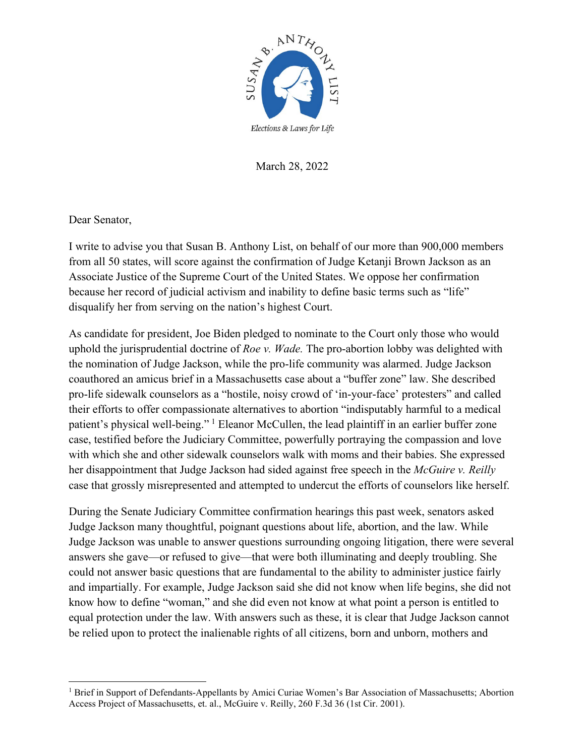

March 28, 2022

Dear Senator,

I write to advise you that Susan B. Anthony List, on behalf of our more than 900,000 members from all 50 states, will score against the confirmation of Judge Ketanji Brown Jackson as an Associate Justice of the Supreme Court of the United States. We oppose her confirmation because her record of judicial activism and inability to define basic terms such as "life" disqualify her from serving on the nation's highest Court.

As candidate for president, Joe Biden pledged to nominate to the Court only those who would uphold the jurisprudential doctrine of *Roe v. Wade.* The pro-abortion lobby was delighted with the nomination of Judge Jackson, while the pro-life community was alarmed. Judge Jackson coauthored an amicus brief in a Massachusetts case about a "buffer zone" law. She described pro-life sidewalk counselors as a "hostile, noisy crowd of 'in-your-face' protesters" and called their efforts to offer compassionate alternatives to abortion "indisputably harmful to a medical patient's physical well-being."<sup>[1](#page-0-0)</sup> Eleanor McCullen, the lead plaintiff in an earlier buffer zone case, testified before the Judiciary Committee, powerfully portraying the compassion and love with which she and other sidewalk counselors walk with moms and their babies. She expressed her disappointment that Judge Jackson had sided against free speech in the *McGuire v. Reilly* case that grossly misrepresented and attempted to undercut the efforts of counselors like herself.

During the Senate Judiciary Committee confirmation hearings this past week, senators asked Judge Jackson many thoughtful, poignant questions about life, abortion, and the law. While Judge Jackson was unable to answer questions surrounding ongoing litigation, there were several answers she gave—or refused to give—that were both illuminating and deeply troubling. She could not answer basic questions that are fundamental to the ability to administer justice fairly and impartially. For example, Judge Jackson said she did not know when life begins, she did not know how to define "woman," and she did even not know at what point a person is entitled to equal protection under the law. With answers such as these, it is clear that Judge Jackson cannot be relied upon to protect the inalienable rights of all citizens, born and unborn, mothers and

<span id="page-0-0"></span><sup>&</sup>lt;sup>1</sup> Brief in Support of Defendants-Appellants by Amici Curiae Women's Bar Association of Massachusetts; Abortion Access Project of Massachusetts, et. al., McGuire v. Reilly, 260 F.3d 36 (1st Cir. 2001).